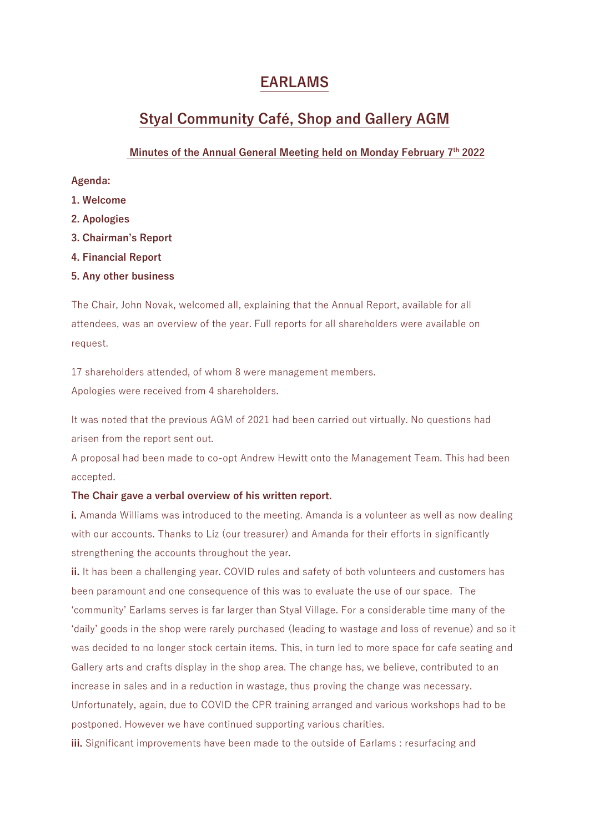# **EARLAMS**

# **Styal Community Café, Shop and Gallery AGM**

### **Minutes of the Annual General Meeting held on Monday February 7 th 2022**

**Agenda:**

- **1. Welcome**
- **2. Apologies**
- **3. Chairman's Report**
- **4. Financial Report**
- **5. Any other business**

The Chair, John Novak, welcomed all, explaining that the Annual Report, available for all attendees, was an overview of the year. Full reports for all shareholders were available on request.

17 shareholders attended, of whom 8 were management members. Apologies were received from 4 shareholders.

It was noted that the previous AGM of 2021 had been carried out virtually. No questions had

arisen from the report sent out.

A proposal had been made to co-opt Andrew Hewitt onto the Management Team. This had been accepted.

### **The Chair gave a verbal overview of his written report.**

**i.** Amanda Williams was introduced to the meeting. Amanda is a volunteer as well as now dealing with our accounts. Thanks to Liz (our treasurer) and Amanda for their efforts in significantly strengthening the accounts throughout the year.

**ii.** It has been a challenging year. COVID rules and safety of both volunteers and customers has been paramount and one consequence of this was to evaluate the use of our space. The 'community' Earlams serves is far larger than Styal Village. For a considerable time many of the 'daily' goods in the shop were rarely purchased (leading to wastage and loss of revenue) and so it was decided to no longer stock certain items. This, in turn led to more space for cafe seating and Gallery arts and crafts display in the shop area. The change has, we believe, contributed to an increase in sales and in a reduction in wastage, thus proving the change was necessary. Unfortunately, again, due to COVID the CPR training arranged and various workshops had to be postponed. However we have continued supporting various charities.

**iii.** Significant improvements have been made to the outside of Earlams : resurfacing and